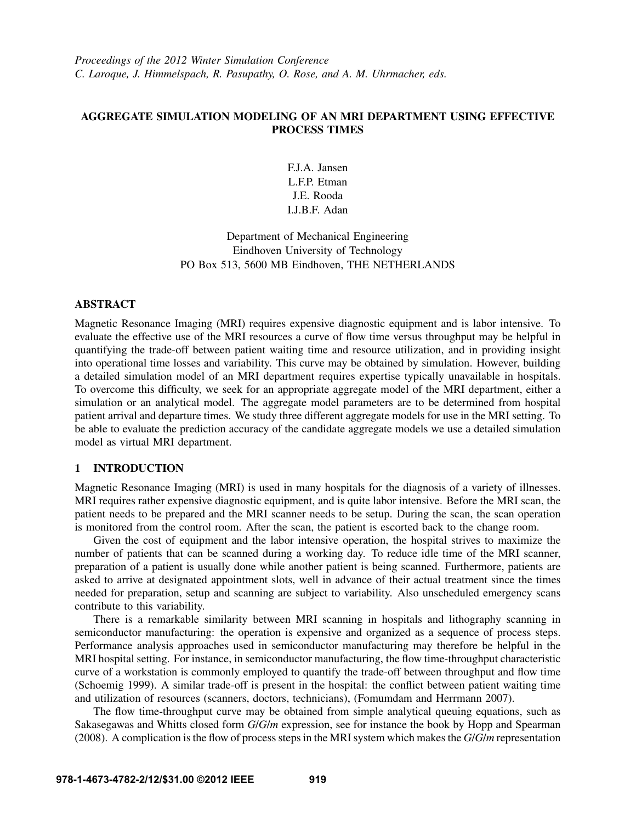# AGGREGATE SIMULATION MODELING OF AN MRI DEPARTMENT USING EFFECTIVE PROCESS TIMES

F.J.A. Jansen L.F.P. Etman J.E. Rooda I.J.B.F. Adan

Department of Mechanical Engineering Eindhoven University of Technology PO Box 513, 5600 MB Eindhoven, THE NETHERLANDS

## ABSTRACT

Magnetic Resonance Imaging (MRI) requires expensive diagnostic equipment and is labor intensive. To evaluate the effective use of the MRI resources a curve of flow time versus throughput may be helpful in quantifying the trade-off between patient waiting time and resource utilization, and in providing insight into operational time losses and variability. This curve may be obtained by simulation. However, building a detailed simulation model of an MRI department requires expertise typically unavailable in hospitals. To overcome this difficulty, we seek for an appropriate aggregate model of the MRI department, either a simulation or an analytical model. The aggregate model parameters are to be determined from hospital patient arrival and departure times. We study three different aggregate models for use in the MRI setting. To be able to evaluate the prediction accuracy of the candidate aggregate models we use a detailed simulation model as virtual MRI department.

## 1 INTRODUCTION

Magnetic Resonance Imaging (MRI) is used in many hospitals for the diagnosis of a variety of illnesses. MRI requires rather expensive diagnostic equipment, and is quite labor intensive. Before the MRI scan, the patient needs to be prepared and the MRI scanner needs to be setup. During the scan, the scan operation is monitored from the control room. After the scan, the patient is escorted back to the change room.

Given the cost of equipment and the labor intensive operation, the hospital strives to maximize the number of patients that can be scanned during a working day. To reduce idle time of the MRI scanner, preparation of a patient is usually done while another patient is being scanned. Furthermore, patients are asked to arrive at designated appointment slots, well in advance of their actual treatment since the times needed for preparation, setup and scanning are subject to variability. Also unscheduled emergency scans contribute to this variability.

There is a remarkable similarity between MRI scanning in hospitals and lithography scanning in semiconductor manufacturing: the operation is expensive and organized as a sequence of process steps. Performance analysis approaches used in semiconductor manufacturing may therefore be helpful in the MRI hospital setting. For instance, in semiconductor manufacturing, the flow time-throughput characteristic curve of a workstation is commonly employed to quantify the trade-off between throughput and flow time (Schoemig 1999). A similar trade-off is present in the hospital: the conflict between patient waiting time and utilization of resources (scanners, doctors, technicians), (Fomumdam and Herrmann 2007).

The flow time-throughput curve may be obtained from simple analytical queuing equations, such as Sakasegawas and Whitts closed form *G*/*G*/*m* expression, see for instance the book by Hopp and Spearman (2008). A complication is the flow of process steps in the MRI system which makes the *G*/*G*/*m* representation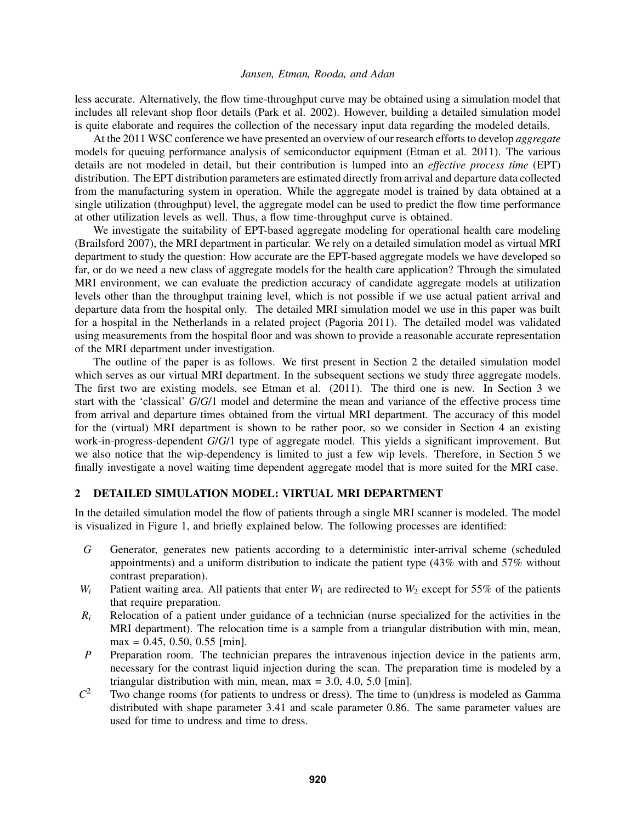less accurate. Alternatively, the flow time-throughput curve may be obtained using a simulation model that includes all relevant shop floor details (Park et al. 2002). However, building a detailed simulation model is quite elaborate and requires the collection of the necessary input data regarding the modeled details.

At the 2011 WSC conference we have presented an overview of our research efforts to develop *aggregate* models for queuing performance analysis of semiconductor equipment (Etman et al. 2011). The various details are not modeled in detail, but their contribution is lumped into an *effective process time* (EPT) distribution. The EPT distribution parameters are estimated directly from arrival and departure data collected from the manufacturing system in operation. While the aggregate model is trained by data obtained at a single utilization (throughput) level, the aggregate model can be used to predict the flow time performance at other utilization levels as well. Thus, a flow time-throughput curve is obtained.

We investigate the suitability of EPT-based aggregate modeling for operational health care modeling (Brailsford 2007), the MRI department in particular. We rely on a detailed simulation model as virtual MRI department to study the question: How accurate are the EPT-based aggregate models we have developed so far, or do we need a new class of aggregate models for the health care application? Through the simulated MRI environment, we can evaluate the prediction accuracy of candidate aggregate models at utilization levels other than the throughput training level, which is not possible if we use actual patient arrival and departure data from the hospital only. The detailed MRI simulation model we use in this paper was built for a hospital in the Netherlands in a related project (Pagoria 2011). The detailed model was validated using measurements from the hospital floor and was shown to provide a reasonable accurate representation of the MRI department under investigation.

The outline of the paper is as follows. We first present in Section 2 the detailed simulation model which serves as our virtual MRI department. In the subsequent sections we study three aggregate models. The first two are existing models, see Etman et al. (2011). The third one is new. In Section 3 we start with the 'classical' *G*/*G*/1 model and determine the mean and variance of the effective process time from arrival and departure times obtained from the virtual MRI department. The accuracy of this model for the (virtual) MRI department is shown to be rather poor, so we consider in Section 4 an existing work-in-progress-dependent *G*/*G*/1 type of aggregate model. This yields a significant improvement. But we also notice that the wip-dependency is limited to just a few wip levels. Therefore, in Section 5 we finally investigate a novel waiting time dependent aggregate model that is more suited for the MRI case.

## 2 DETAILED SIMULATION MODEL: VIRTUAL MRI DEPARTMENT

In the detailed simulation model the flow of patients through a single MRI scanner is modeled. The model is visualized in Figure 1, and briefly explained below. The following processes are identified:

- *G* Generator, generates new patients according to a deterministic inter-arrival scheme (scheduled appointments) and a uniform distribution to indicate the patient type (43% with and 57% without contrast preparation).
- $W_i$  Patient waiting area. All patients that enter  $W_1$  are redirected to  $W_2$  except for 55% of the patients that require preparation.
- $R_i$  Relocation of a patient under guidance of a technician (nurse specialized for the activities in the MRI department). The relocation time is a sample from a triangular distribution with min, mean,  $max = 0.45, 0.50, 0.55$  [min].
- *P* Preparation room. The technician prepares the intravenous injection device in the patients arm, necessary for the contrast liquid injection during the scan. The preparation time is modeled by a triangular distribution with min, mean, max  $= 3.0, 4.0, 5.0$  [min].
- $C^2$ <sup>2</sup> Two change rooms (for patients to undress or dress). The time to (un)dress is modeled as Gamma distributed with shape parameter 3.41 and scale parameter 0.86. The same parameter values are used for time to undress and time to dress.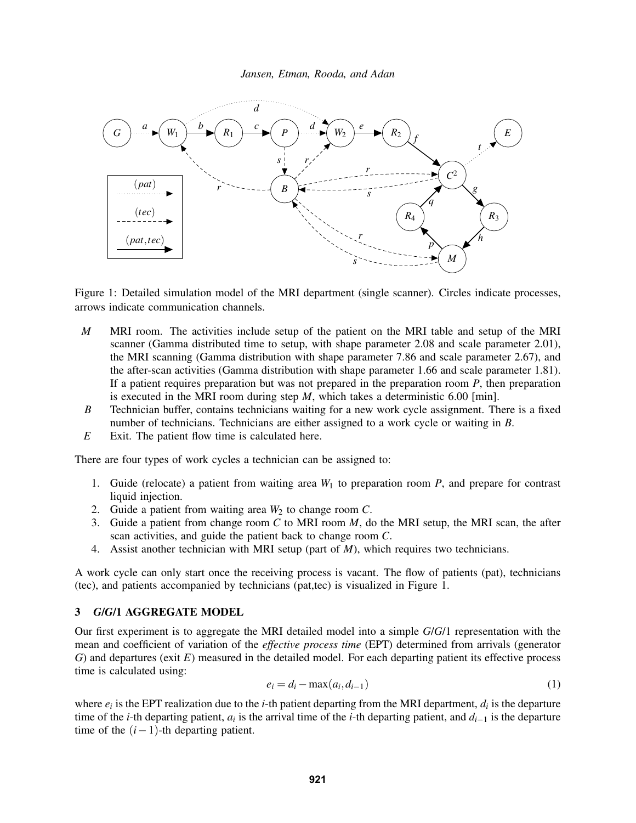

Figure 1: Detailed simulation model of the MRI department (single scanner). Circles indicate processes, arrows indicate communication channels.

- *M* MRI room. The activities include setup of the patient on the MRI table and setup of the MRI scanner (Gamma distributed time to setup, with shape parameter 2.08 and scale parameter 2.01), the MRI scanning (Gamma distribution with shape parameter 7.86 and scale parameter 2.67), and the after-scan activities (Gamma distribution with shape parameter 1.66 and scale parameter 1.81). If a patient requires preparation but was not prepared in the preparation room *P*, then preparation is executed in the MRI room during step *M*, which takes a deterministic 6.00 [min].
- *B* Technician buffer, contains technicians waiting for a new work cycle assignment. There is a fixed number of technicians. Technicians are either assigned to a work cycle or waiting in *B*.
- *E* Exit. The patient flow time is calculated here.

There are four types of work cycles a technician can be assigned to:

- 1. Guide (relocate) a patient from waiting area *W*<sup>1</sup> to preparation room *P*, and prepare for contrast liquid injection.
- 2. Guide a patient from waiting area  $W_2$  to change room  $C$ .
- 3. Guide a patient from change room *C* to MRI room *M*, do the MRI setup, the MRI scan, the after scan activities, and guide the patient back to change room *C*.
- 4. Assist another technician with MRI setup (part of *M*), which requires two technicians.

A work cycle can only start once the receiving process is vacant. The flow of patients (pat), technicians (tec), and patients accompanied by technicians (pat,tec) is visualized in Figure 1.

## 3 *G*/*G*/1 AGGREGATE MODEL

Our first experiment is to aggregate the MRI detailed model into a simple *G*/*G*/1 representation with the mean and coefficient of variation of the *effective process time* (EPT) determined from arrivals (generator *G*) and departures (exit *E*) measured in the detailed model. For each departing patient its effective process time is calculated using:

$$
e_i = d_i - \max(a_i, d_{i-1})
$$
\n<sup>(1)</sup>

where  $e_i$  is the EPT realization due to the *i*-th patient departing from the MRI department,  $d_i$  is the departure time of the *i*-th departing patient,  $a_i$  is the arrival time of the *i*-th departing patient, and  $d_{i-1}$  is the departure time of the  $(i-1)$ -th departing patient.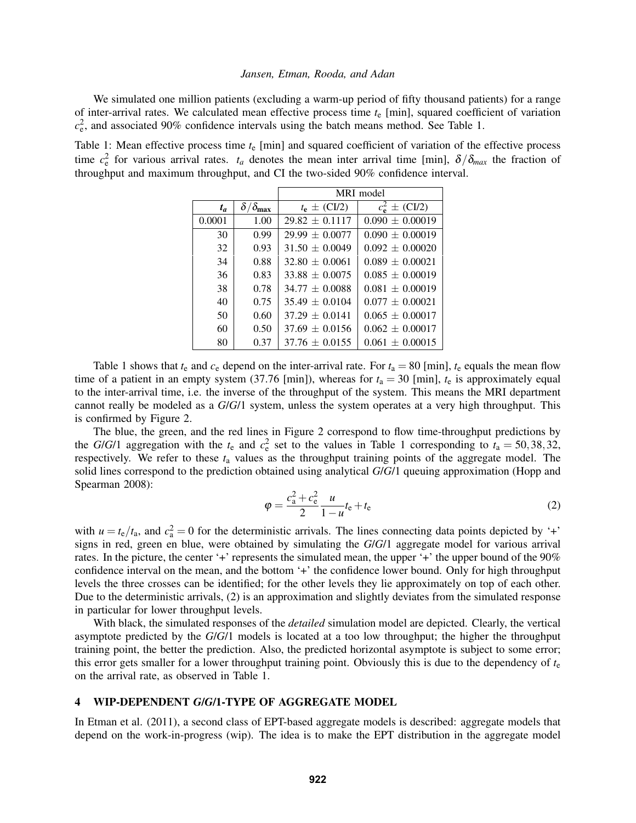We simulated one million patients (excluding a warm-up period of fifty thousand patients) for a range of inter-arrival rates. We calculated mean effective process time *t*<sup>e</sup> [min], squared coefficient of variation  $c_e^2$ , and associated 90% confidence intervals using the batch means method. See Table 1.

Table 1: Mean effective process time  $t_e$  [min] and squared coefficient of variation of the effective process time  $c_e^2$  for various arrival rates.  $t_a$  denotes the mean inter arrival time [min],  $\delta/\delta_{max}$  the fraction of throughput and maximum throughput, and CI the two-sided 90% confidence interval.

|        |                       | MRI model              |                          |  |  |
|--------|-----------------------|------------------------|--------------------------|--|--|
| $t_a$  | $\delta_{\text{max}}$ | $t_{\rm e} \pm$ (CI/2) | $c_{\rm e}^2 \pm (CI/2)$ |  |  |
| 0.0001 | 1.00                  | $29.82 \pm 0.1117$     | $0.090 \pm 0.00019$      |  |  |
| 30     | 0.99                  | $29.99 \pm 0.0077$     | $0.090 \pm 0.00019$      |  |  |
| 32     | 0.93                  | $31.50 \pm 0.0049$     | $0.092 \pm 0.00020$      |  |  |
| 34     | 0.88                  | $32.80 \pm 0.0061$     | $0.089 \pm 0.00021$      |  |  |
| 36     | 0.83                  | $33.88 \pm 0.0075$     | $0.085 \pm 0.00019$      |  |  |
| 38     | 0.78                  | $34.77 + 0.0088$       | $0.081 \pm 0.00019$      |  |  |
| 40     | 0.75                  | $35.49 \pm 0.0104$     | $0.077 \pm 0.00021$      |  |  |
| 50     | 0.60                  | $37.29 \pm 0.0141$     | $0.065 \pm 0.00017$      |  |  |
| 60     | 0.50                  | $37.69 \pm 0.0156$     | $0.062 \pm 0.00017$      |  |  |
| 80     | 0.37                  | $37.76 \pm 0.0155$     | $0.061 \pm 0.00015$      |  |  |

Table 1 shows that  $t_e$  and  $c_e$  depend on the inter-arrival rate. For  $t_a = 80$  [min],  $t_e$  equals the mean flow time of a patient in an empty system (37.76 [min]), whereas for  $t_a = 30$  [min],  $t_e$  is approximately equal to the inter-arrival time, i.e. the inverse of the throughput of the system. This means the MRI department cannot really be modeled as a *G*/*G*/1 system, unless the system operates at a very high throughput. This is confirmed by Figure 2.

The blue, the green, and the red lines in Figure 2 correspond to flow time-throughput predictions by the *G*/*G*/1 aggregation with the  $t_e$  and  $c_e^2$  set to the values in Table 1 corresponding to  $t_a = 50,38,32,$ respectively. We refer to these *t*<sup>a</sup> values as the throughput training points of the aggregate model. The solid lines correspond to the prediction obtained using analytical *G*/*G*/1 queuing approximation (Hopp and Spearman 2008):

$$
\varphi = \frac{c_{\rm a}^2 + c_{\rm e}^2}{2} \frac{u}{1 - u} t_{\rm e} + t_{\rm e}
$$
 (2)

with  $u = t_e/t_a$ , and  $c_a^2 = 0$  for the deterministic arrivals. The lines connecting data points depicted by '+' signs in red, green en blue, were obtained by simulating the *G*/*G*/1 aggregate model for various arrival rates. In the picture, the center '+' represents the simulated mean, the upper '+' the upper bound of the 90% confidence interval on the mean, and the bottom '+' the confidence lower bound. Only for high throughput levels the three crosses can be identified; for the other levels they lie approximately on top of each other. Due to the deterministic arrivals, (2) is an approximation and slightly deviates from the simulated response in particular for lower throughput levels.

With black, the simulated responses of the *detailed* simulation model are depicted. Clearly, the vertical asymptote predicted by the *G*/*G*/1 models is located at a too low throughput; the higher the throughput training point, the better the prediction. Also, the predicted horizontal asymptote is subject to some error; this error gets smaller for a lower throughput training point. Obviously this is due to the dependency of  $t<sub>e</sub>$ on the arrival rate, as observed in Table 1.

### 4 WIP-DEPENDENT *G*/*G*/1-TYPE OF AGGREGATE MODEL

In Etman et al. (2011), a second class of EPT-based aggregate models is described: aggregate models that depend on the work-in-progress (wip). The idea is to make the EPT distribution in the aggregate model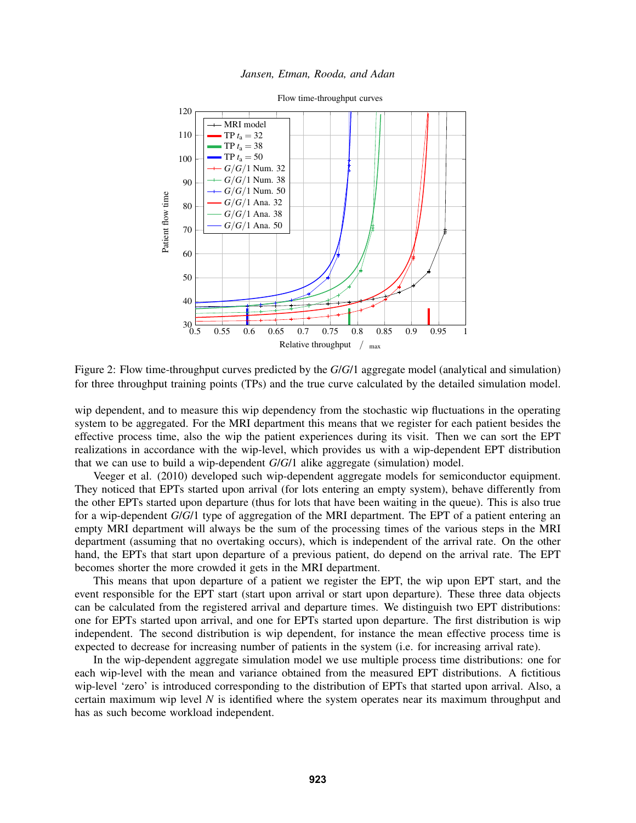



Figure 2: Flow time-throughput curves predicted by the *G*/*G*/1 aggregate model (analytical and simulation) for three throughput training points (TPs) and the true curve calculated by the detailed simulation model.

wip dependent, and to measure this wip dependency from the stochastic wip fluctuations in the operating system to be aggregated. For the MRI department this means that we register for each patient besides the effective process time, also the wip the patient experiences during its visit. Then we can sort the EPT realizations in accordance with the wip-level, which provides us with a wip-dependent EPT distribution that we can use to build a wip-dependent *G*/*G*/1 alike aggregate (simulation) model.

Veeger et al. (2010) developed such wip-dependent aggregate models for semiconductor equipment. They noticed that EPTs started upon arrival (for lots entering an empty system), behave differently from the other EPTs started upon departure (thus for lots that have been waiting in the queue). This is also true for a wip-dependent *G*/*G*/1 type of aggregation of the MRI department. The EPT of a patient entering an empty MRI department will always be the sum of the processing times of the various steps in the MRI department (assuming that no overtaking occurs), which is independent of the arrival rate. On the other hand, the EPTs that start upon departure of a previous patient, do depend on the arrival rate. The EPT becomes shorter the more crowded it gets in the MRI department.

This means that upon departure of a patient we register the EPT, the wip upon EPT start, and the event responsible for the EPT start (start upon arrival or start upon departure). These three data objects can be calculated from the registered arrival and departure times. We distinguish two EPT distributions: one for EPTs started upon arrival, and one for EPTs started upon departure. The first distribution is wip independent. The second distribution is wip dependent, for instance the mean effective process time is expected to decrease for increasing number of patients in the system (i.e. for increasing arrival rate).

In the wip-dependent aggregate simulation model we use multiple process time distributions: one for each wip-level with the mean and variance obtained from the measured EPT distributions. A fictitious wip-level 'zero' is introduced corresponding to the distribution of EPTs that started upon arrival. Also, a certain maximum wip level *N* is identified where the system operates near its maximum throughput and has as such become workload independent.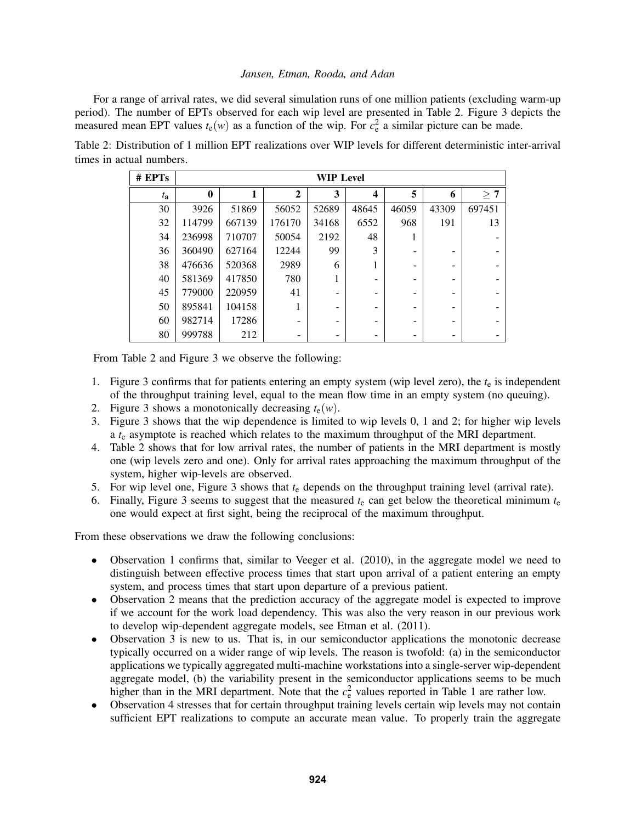For a range of arrival rates, we did several simulation runs of one million patients (excluding warm-up period). The number of EPTs observed for each wip level are presented in Table 2. Figure 3 depicts the measured mean EPT values  $t_e(w)$  as a function of the wip. For  $c_e^2$  a similar picture can be made.

Table 2: Distribution of 1 million EPT realizations over WIP levels for different deterministic inter-arrival times in actual numbers.

| # EPTs      | <b>WIP Level</b> |        |              |       |       |       |       |          |  |
|-------------|------------------|--------|--------------|-------|-------|-------|-------|----------|--|
| $t_{\rm a}$ | $\bf{0}$         |        | $\mathbf{2}$ | 3     | 4     | 5     | 6     | $\geq 7$ |  |
| 30          | 3926             | 51869  | 56052        | 52689 | 48645 | 46059 | 43309 | 697451   |  |
| 32          | 114799           | 667139 | 176170       | 34168 | 6552  | 968   | 191   | 13       |  |
| 34          | 236998           | 710707 | 50054        | 2192  | 48    |       |       |          |  |
| 36          | 360490           | 627164 | 12244        | 99    | 3     |       |       |          |  |
| 38          | 476636           | 520368 | 2989         | 6     |       |       |       |          |  |
| 40          | 581369           | 417850 | 780          | 1     |       |       | -     |          |  |
| 45          | 779000           | 220959 | 41           |       |       |       |       |          |  |
| 50          | 895841           | 104158 |              |       |       |       |       |          |  |
| 60          | 982714           | 17286  |              |       |       |       |       |          |  |
| 80          | 999788           | 212    |              |       |       |       |       |          |  |

From Table 2 and Figure 3 we observe the following:

- 1. Figure 3 confirms that for patients entering an empty system (wip level zero), the *t*<sup>e</sup> is independent of the throughput training level, equal to the mean flow time in an empty system (no queuing).
- 2. Figure 3 shows a monotonically decreasing  $t_e(w)$ .
- 3. Figure 3 shows that the wip dependence is limited to wip levels 0, 1 and 2; for higher wip levels a *t*<sup>e</sup> asymptote is reached which relates to the maximum throughput of the MRI department.
- 4. Table 2 shows that for low arrival rates, the number of patients in the MRI department is mostly one (wip levels zero and one). Only for arrival rates approaching the maximum throughput of the system, higher wip-levels are observed.
- 5. For wip level one, Figure 3 shows that *t*<sup>e</sup> depends on the throughput training level (arrival rate).
- 6. Finally, Figure 3 seems to suggest that the measured  $t<sub>e</sub>$  can get below the theoretical minimum  $t<sub>e</sub>$ one would expect at first sight, being the reciprocal of the maximum throughput.

From these observations we draw the following conclusions:

- Observation 1 confirms that, similar to Veeger et al. (2010), in the aggregate model we need to distinguish between effective process times that start upon arrival of a patient entering an empty system, and process times that start upon departure of a previous patient.
- Observation 2 means that the prediction accuracy of the aggregate model is expected to improve if we account for the work load dependency. This was also the very reason in our previous work to develop wip-dependent aggregate models, see Etman et al. (2011).
- Observation 3 is new to us. That is, in our semiconductor applications the monotonic decrease typically occurred on a wider range of wip levels. The reason is twofold: (a) in the semiconductor applications we typically aggregated multi-machine workstations into a single-server wip-dependent aggregate model, (b) the variability present in the semiconductor applications seems to be much higher than in the MRI department. Note that the  $c_e^2$  values reported in Table 1 are rather low.
- Observation 4 stresses that for certain throughput training levels certain wip levels may not contain sufficient EPT realizations to compute an accurate mean value. To properly train the aggregate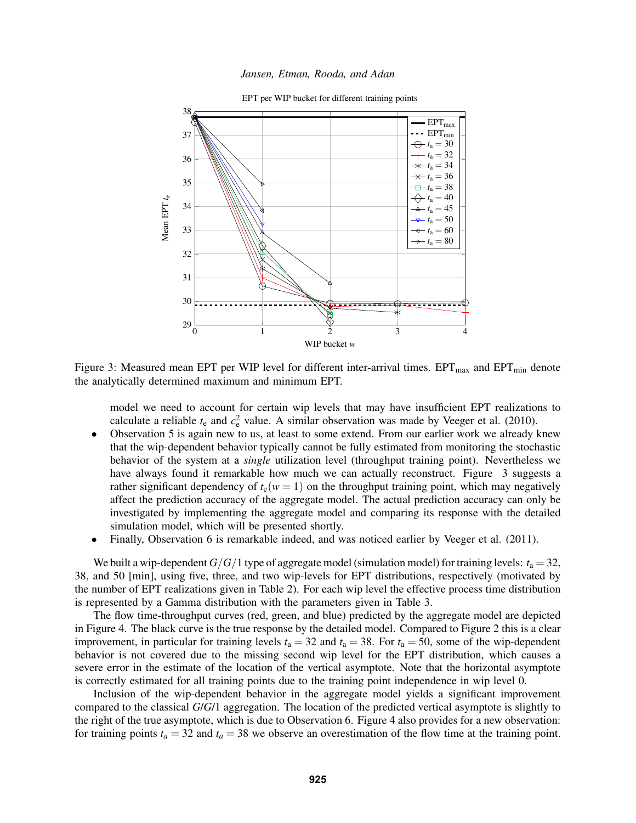*Jansen, Etman, Rooda, and Adan*



EPT per WIP bucket for different training points

Figure 3: Measured mean EPT per WIP level for different inter-arrival times.  $EPT_{max}$  and  $EPT_{min}$  denote the analytically determined maximum and minimum EPT.

model we need to account for certain wip levels that may have insufficient EPT realizations to calculate a reliable  $t_e$  and  $c_e^2$  value. A similar observation was made by Veeger et al. (2010).

- Observation 5 is again new to us, at least to some extend. From our earlier work we already knew that the wip-dependent behavior typically cannot be fully estimated from monitoring the stochastic behavior of the system at a *single* utilization level (throughput training point). Nevertheless we have always found it remarkable how much we can actually reconstruct. Figure 3 suggests a rather significant dependency of  $t_e(w = 1)$  on the throughput training point, which may negatively affect the prediction accuracy of the aggregate model. The actual prediction accuracy can only be investigated by implementing the aggregate model and comparing its response with the detailed simulation model, which will be presented shortly.
- Finally, Observation 6 is remarkable indeed, and was noticed earlier by Veeger et al. (2011).

We built a wip-dependent  $G/G/1$  type of aggregate model (simulation model) for training levels:  $t_a = 32$ , 38, and 50 [min], using five, three, and two wip-levels for EPT distributions, respectively (motivated by the number of EPT realizations given in Table 2). For each wip level the effective process time distribution is represented by a Gamma distribution with the parameters given in Table 3.

The flow time-throughput curves (red, green, and blue) predicted by the aggregate model are depicted in Figure 4. The black curve is the true response by the detailed model. Compared to Figure 2 this is a clear improvement, in particular for training levels  $t_a = 32$  and  $t_a = 38$ . For  $t_a = 50$ , some of the wip-dependent behavior is not covered due to the missing second wip level for the EPT distribution, which causes a severe error in the estimate of the location of the vertical asymptote. Note that the horizontal asymptote is correctly estimated for all training points due to the training point independence in wip level 0.

Inclusion of the wip-dependent behavior in the aggregate model yields a significant improvement compared to the classical *G*/*G*/1 aggregation. The location of the predicted vertical asymptote is slightly to the right of the true asymptote, which is due to Observation 6. Figure 4 also provides for a new observation: for training points  $t_a = 32$  and  $t_a = 38$  we observe an overestimation of the flow time at the training point.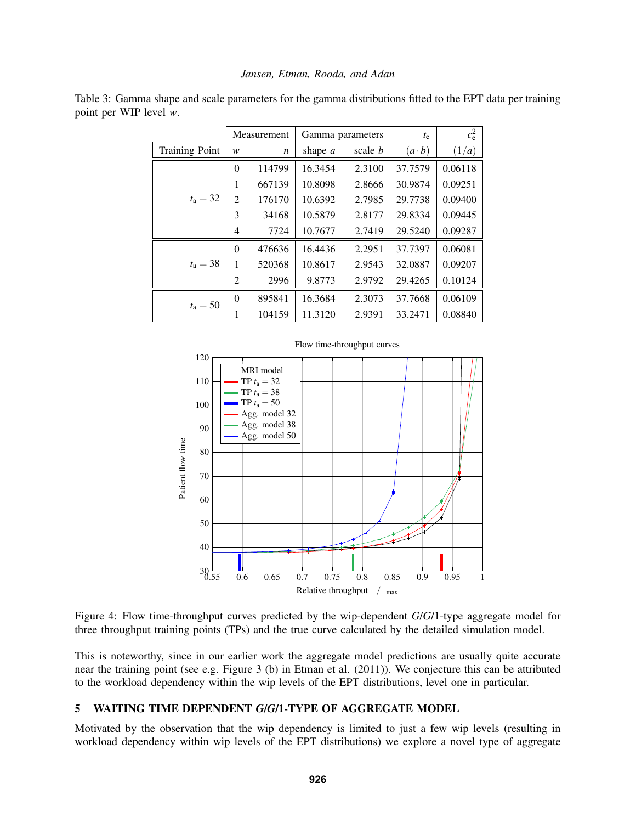|                       | Measurement    |                  | Gamma parameters |                | $t_{\rm e}$   | $c_{\rm e}^2$ |
|-----------------------|----------------|------------------|------------------|----------------|---------------|---------------|
| <b>Training Point</b> | w              | $\boldsymbol{n}$ | shape $a$        | scale <i>b</i> | $(a \cdot b)$ | (1/a)         |
| $t_a = 32$            | $\theta$       | 114799           | 16.3454          | 2.3100         | 37.7579       | 0.06118       |
|                       | 1              | 667139           | 10.8098          | 2.8666         | 30.9874       | 0.09251       |
|                       | $\mathfrak{D}$ | 176170           | 10.6392          | 2.7985         | 29.7738       | 0.09400       |
|                       | 3              | 34168            | 10.5879          | 2.8177         | 29.8334       | 0.09445       |
|                       | 4              | 7724             | 10.7677          | 2.7419         | 29.5240       | 0.09287       |
| $t_a = 38$            | $\Omega$       | 476636           | 16.4436          | 2.2951         | 37.7397       | 0.06081       |
|                       | 1              | 520368           | 10.8617          | 2.9543         | 32.0887       | 0.09207       |
|                       | $\overline{2}$ | 2996             | 9.8773           | 2.9792         | 29.4265       | 0.10124       |
| $t_{\rm a} = 50$      | $\Omega$       | 895841           | 16.3684          | 2.3073         | 37.7668       | 0.06109       |
|                       |                | 104159           | 11.3120          | 2.9391         | 33.2471       | 0.08840       |

Table 3: Gamma shape and scale parameters for the gamma distributions fitted to the EPT data per training point per WIP level *w*.



#### Flow time-throughput curves

Figure 4: Flow time-throughput curves predicted by the wip-dependent *G*/*G*/1-type aggregate model for three throughput training points (TPs) and the true curve calculated by the detailed simulation model.

This is noteworthy, since in our earlier work the aggregate model predictions are usually quite accurate near the training point (see e.g. Figure 3 (b) in Etman et al. (2011)). We conjecture this can be attributed to the workload dependency within the wip levels of the EPT distributions, level one in particular.

## 5 WAITING TIME DEPENDENT *G*/*G*/1-TYPE OF AGGREGATE MODEL

Motivated by the observation that the wip dependency is limited to just a few wip levels (resulting in workload dependency within wip levels of the EPT distributions) we explore a novel type of aggregate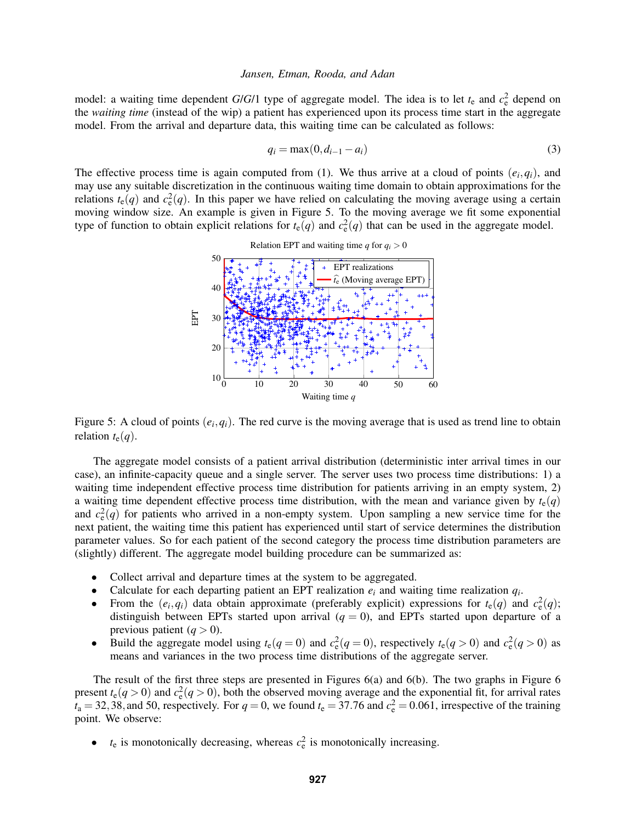model: a waiting time dependent *G*/*G*/1 type of aggregate model. The idea is to let  $t_e$  and  $c_e^2$  depend on the *waiting time* (instead of the wip) a patient has experienced upon its process time start in the aggregate model. From the arrival and departure data, this waiting time can be calculated as follows:

$$
q_i = \max(0, d_{i-1} - a_i)
$$
 (3)

The effective process time is again computed from (1). We thus arrive at a cloud of points  $(e_i, q_i)$ , and may use any suitable discretization in the continuous waiting time domain to obtain approximations for the relations  $t_e(q)$  and  $c_e^2(q)$ . In this paper we have relied on calculating the moving average using a certain moving window size. An example is given in Figure 5. To the moving average we fit some exponential type of function to obtain explicit relations for  $t_e(q)$  and  $c_e^2(q)$  that can be used in the aggregate model.



Figure 5: A cloud of points  $(e_i, q_i)$ . The red curve is the moving average that is used as trend line to obtain relation  $t_e(q)$ .

The aggregate model consists of a patient arrival distribution (deterministic inter arrival times in our case), an infinite-capacity queue and a single server. The server uses two process time distributions: 1) a waiting time independent effective process time distribution for patients arriving in an empty system, 2) a waiting time dependent effective process time distribution, with the mean and variance given by  $t_{e}(q)$ and  $c_e^2(q)$  for patients who arrived in a non-empty system. Upon sampling a new service time for the next patient, the waiting time this patient has experienced until start of service determines the distribution parameter values. So for each patient of the second category the process time distribution parameters are (slightly) different. The aggregate model building procedure can be summarized as:

- Collect arrival and departure times at the system to be aggregated.
- Calculate for each departing patient an EPT realization  $e_i$  and waiting time realization  $q_i$ .
- From the  $(e_i, q_i)$  data obtain approximate (preferably explicit) expressions for  $t_e(q)$  and  $c_e^2(q)$ ; distinguish between EPTs started upon arrival  $(q = 0)$ , and EPTs started upon departure of a previous patient  $(q > 0)$ .
- Build the aggregate model using  $t_e(q=0)$  and  $c_e^2(q=0)$ , respectively  $t_e(q>0)$  and  $c_e^2(q>0)$  as means and variances in the two process time distributions of the aggregate server.

The result of the first three steps are presented in Figures 6(a) and 6(b). The two graphs in Figure 6 present  $t_e(q>0)$  and  $c_e^2(q>0)$ , both the observed moving average and the exponential fit, for arrival rates  $t_a = 32,38$ , and 50, respectively. For  $q = 0$ , we found  $t_e = 37.76$  and  $c_e^2 = 0.061$ , irrespective of the training point. We observe:

 $\bullet$  *t*<sub>e</sub> is monotonically decreasing, whereas  $c_e^2$  is monotonically increasing.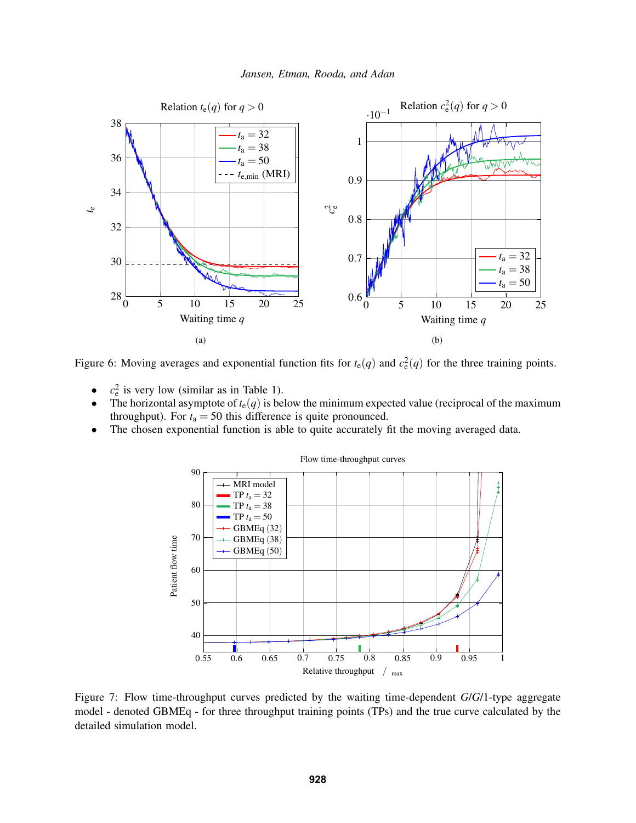



Figure 6: Moving averages and exponential function fits for  $t_e(q)$  and  $c_e^2(q)$  for the three training points.

- $c_e^2$  is very low (similar as in Table 1).
- The horizontal asymptote of  $t_e(q)$  is below the minimum expected value (reciprocal of the maximum throughput). For  $t_a = 50$  this difference is quite pronounced.
- The chosen exponential function is able to quite accurately fit the moving averaged data.



Figure 7: Flow time-throughput curves predicted by the waiting time-dependent *G*/*G*/1-type aggregate model - denoted GBMEq - for three throughput training points (TPs) and the true curve calculated by the detailed simulation model.

Flow time-throughput curves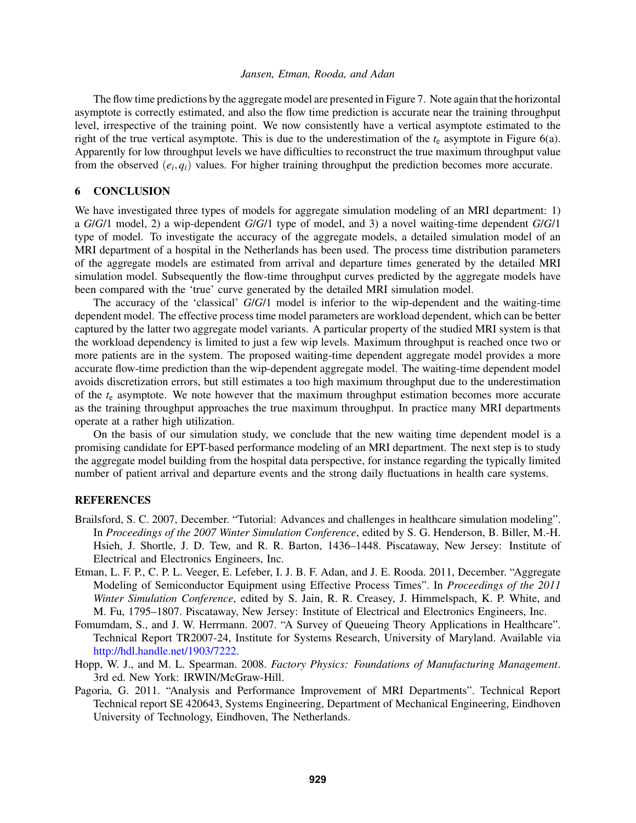The flow time predictions by the aggregate model are presented in Figure 7. Note again that the horizontal asymptote is correctly estimated, and also the flow time prediction is accurate near the training throughput level, irrespective of the training point. We now consistently have a vertical asymptote estimated to the right of the true vertical asymptote. This is due to the underestimation of the *t*<sup>e</sup> asymptote in Figure 6(a). Apparently for low throughput levels we have difficulties to reconstruct the true maximum throughput value from the observed  $(e_i, q_i)$  values. For higher training throughput the prediction becomes more accurate.

## 6 CONCLUSION

We have investigated three types of models for aggregate simulation modeling of an MRI department: 1) a *G*/*G*/1 model, 2) a wip-dependent *G*/*G*/1 type of model, and 3) a novel waiting-time dependent *G*/*G*/1 type of model. To investigate the accuracy of the aggregate models, a detailed simulation model of an MRI department of a hospital in the Netherlands has been used. The process time distribution parameters of the aggregate models are estimated from arrival and departure times generated by the detailed MRI simulation model. Subsequently the flow-time throughput curves predicted by the aggregate models have been compared with the 'true' curve generated by the detailed MRI simulation model.

The accuracy of the 'classical' *G*/*G*/1 model is inferior to the wip-dependent and the waiting-time dependent model. The effective process time model parameters are workload dependent, which can be better captured by the latter two aggregate model variants. A particular property of the studied MRI system is that the workload dependency is limited to just a few wip levels. Maximum throughput is reached once two or more patients are in the system. The proposed waiting-time dependent aggregate model provides a more accurate flow-time prediction than the wip-dependent aggregate model. The waiting-time dependent model avoids discretization errors, but still estimates a too high maximum throughput due to the underestimation of the *t*<sup>e</sup> asymptote. We note however that the maximum throughput estimation becomes more accurate as the training throughput approaches the true maximum throughput. In practice many MRI departments operate at a rather high utilization.

On the basis of our simulation study, we conclude that the new waiting time dependent model is a promising candidate for EPT-based performance modeling of an MRI department. The next step is to study the aggregate model building from the hospital data perspective, for instance regarding the typically limited number of patient arrival and departure events and the strong daily fluctuations in health care systems.

#### **REFERENCES**

- Brailsford, S. C. 2007, December. "Tutorial: Advances and challenges in healthcare simulation modeling". In *Proceedings of the 2007 Winter Simulation Conference*, edited by S. G. Henderson, B. Biller, M.-H. Hsieh, J. Shortle, J. D. Tew, and R. R. Barton, 1436–1448. Piscataway, New Jersey: Institute of Electrical and Electronics Engineers, Inc.
- Etman, L. F. P., C. P. L. Veeger, E. Lefeber, I. J. B. F. Adan, and J. E. Rooda. 2011, December. "Aggregate Modeling of Semiconductor Equipment using Effective Process Times". In *Proceedings of the 2011 Winter Simulation Conference*, edited by S. Jain, R. R. Creasey, J. Himmelspach, K. P. White, and M. Fu, 1795–1807. Piscataway, New Jersey: Institute of Electrical and Electronics Engineers, Inc.
- Fomumdam, S., and J. W. Herrmann. 2007. "A Survey of Queueing Theory Applications in Healthcare". Technical Report TR2007-24, Institute for Systems Research, University of Maryland. Available via http://hdl.handle.net/1903/7222.
- Hopp, W. J., and M. L. Spearman. 2008. *Factory Physics: Foundations of Manufacturing Management*. 3rd ed. New York: IRWIN/McGraw-Hill.
- Pagoria, G. 2011. "Analysis and Performance Improvement of MRI Departments". Technical Report Technical report SE 420643, Systems Engineering, Department of Mechanical Engineering, Eindhoven University of Technology, Eindhoven, The Netherlands.